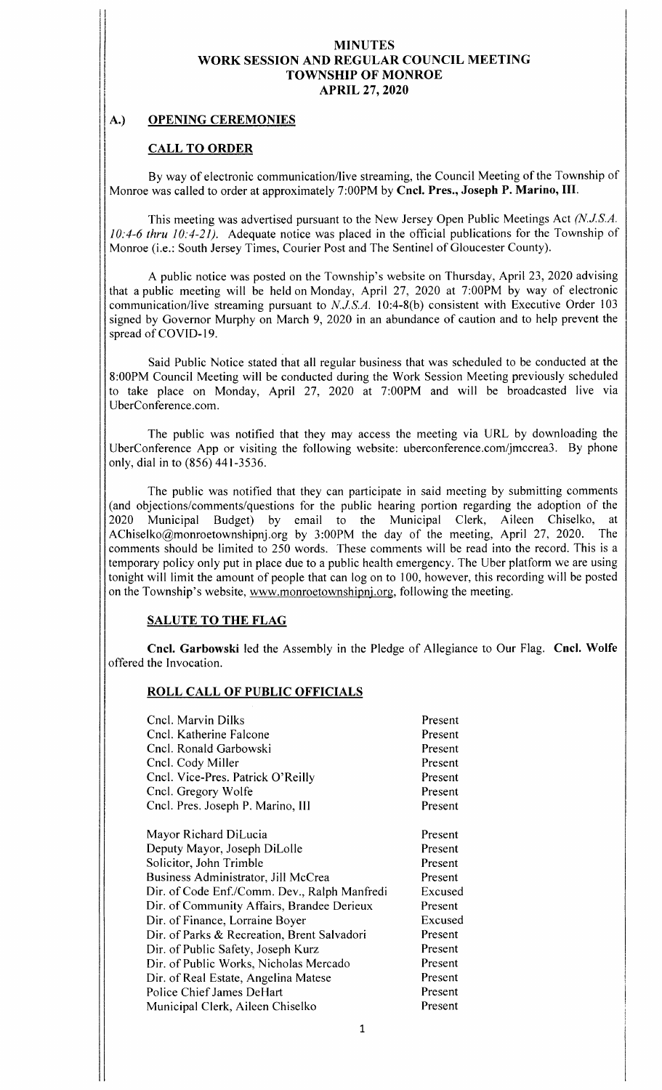## A.) OPENING CEREMONIES

## CALL TO ORDER

By way of electronic communication/live streaming, the Council Meeting of the Township of Monroe was called to order at approximately 7:00PM by Cncl. Pres., Joseph P. Marino, III.

This meeting was advertised pursuant to the New Jersey Open Public Meetings Act (N.J.S.A.  $10:4-6$  thru  $10:4-21$ ). Adequate notice was placed in the official publications for the Township of Monroe (i.e.: South Jersey Times, Courier Post and The Sentinel of Gloucester County).

A public notice was posted on the Township's website on Thursday, April 23, 2020 advising that <sup>a</sup> public meeting will be held on Monday, April 27, 2020 at 7: 00PM by way of electronic communication/live streaming pursuant to  $N.J.S.A.$  10:4-8(b) consistent with Executive Order 103 signed by Governor Murphy on March 9, 2020 in an abundance of caution and to help prevent the spread of COVID-19.

Said Public Notice stated that all regular business that was scheduled to be conducted at the 8: 00PM Council Meeting will be conducted during the Work Session Meeting previously scheduled to take place on Monday, April 27, <sup>2020</sup> at 7: 00PM and will be broadcasted live via UberConference. com.

The public was notified that they may access the meeting via URL by downloading the UberConference App or visiting the following website: uberconference. com/jmccrea3. By phone only, dial in to (856) 441-3536.

The public was notified that they can participate in said meeting by submitting comments (and objections/comments/ questions for the public hearing portion regarding the adoption of the 2020 Municipal Budget) by email to the Municipal Clerk, Aileen Chiselko, at Budget) by email to the Municipal Clerk, Aileen Chiselko, at etownshippi or by 3:00PM the day of the meeting April 27, 2020. The AChiselko@monroetownshipnj.org by 3:00PM the day of the meeting, April 27, 2020. comments should be limited to 250 words. These comments will be read into the record. This is <sup>a</sup> temporary policy only put in place due to <sup>a</sup> public health emergency. The Uber platform we are using tonight will limit the amount of people that can log on to 100, however, this recording will be posted on the Township's website, www.monroetownshipnj.org, following the meeting.

## SALUTE TO THE FLAG

Cncl. Garbowski led the Assembly in the Pledge of Allegiance to Our Flag. Cncl. Wolfe offered the Invocation.

## ROLL CALL OF PUBLIC OFFICIALS

| Cncl. Marvin Dilks                           | Present |
|----------------------------------------------|---------|
| Cncl. Katherine Falcone                      | Present |
| Cncl. Ronald Garbowski                       | Present |
| Cncl. Cody Miller                            | Present |
| Cncl. Vice-Pres. Patrick O'Reilly            | Present |
| Cncl. Gregory Wolfe                          | Present |
| Cncl. Pres. Joseph P. Marino, III            | Present |
| Mayor Richard DiLucia                        | Present |
| Deputy Mayor, Joseph DiLolle                 | Present |
| Solicitor, John Trimble                      | Present |
| Business Administrator, Jill McCrea          | Present |
| Dir. of Code Enf./Comm. Dev., Ralph Manfredi | Excused |
| Dir. of Community Affairs, Brandee Derieux   | Present |
| Dir. of Finance, Lorraine Boyer              | Excused |
| Dir. of Parks & Recreation, Brent Salvadori  | Present |
| Dir. of Public Safety, Joseph Kurz           | Present |
| Dir. of Public Works, Nicholas Mercado       | Present |
| Dir. of Real Estate, Angelina Matese         | Present |
| Police Chief James DeHart                    | Present |
| Municipal Clerk, Aileen Chiselko             | Present |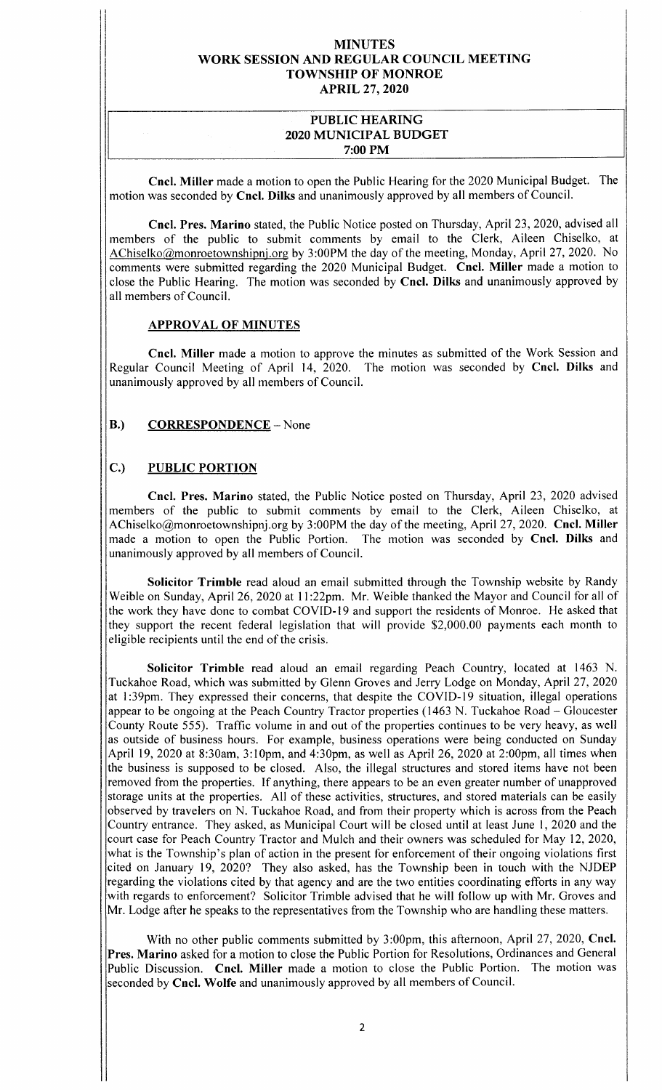### PUBLIC HEARING 2020 MUNICIPAL BUDGET 7: 00 PM

Cncl. Miller made <sup>a</sup> motion to open the Public Hearing for the <sup>2020</sup> Municipal Budget. The motion was seconded by Cncl. Dilks and unanimously approved by all members of Council.

Cncl. Pres. Marino stated, the Public Notice posted on Thursday, April 23, 2020, advised all members of the public to submit comments by email to the Clerk, Aileen Chiselko, at AChiselko@monroetownshipnj. org by 3: 00PM the day of the meeting, Monday, April 27, 2020. No comments were submitted regarding the <sup>2020</sup> Municipal Budget. Cncl. Miller made <sup>a</sup> motion to close the Public Hearing. The motion was seconded by Cncl. Dilks and unanimously approved by all members of Council.

### APPROVAL OF MINUTES

Cncl. Miller made <sup>a</sup> motion to approve the minutes as submitted of the Work Session and Regular Council Meeting of April 14, 2020. The motion was seconded by Cncl. Dilks and unanimously approved by all members of Council.

## B.) CORRESPONDENCE – None

## C.) PUBLIC PORTION

Cncl. Pres. Marino stated, the Public Notice posted on Thursday, April 23, 2020 advised members of the public to submit comments by email to the Clerk, Aileen Chiselko, at AChiselko@monroetownshipnj.org by 3:00PM the day of the meeting, April 27, 2020. Cncl. Miller made a motion to open the Public Portion. The motion was seconded by Cncl. Dilks and unanimously approved by all members of Council.

Solicitor Trimble read aloud an email submitted through the Township website by Randy Weible on Sunday, April 26, 2020 at 11:22pm. Mr. Weible thanked the Mayor and Council for all of the work they have done to combat COVID- <sup>19</sup> and support the residents of Monroe. He asked that they support the recent federal legislation that will provide \$2,000.00 payments each month to eligible recipients until the end of the crisis.

Solicitor Trimble read aloud an email regarding Peach Country, located at <sup>1463</sup> N. Tuckahoe Road, which was submitted by Glenn Groves and Jerry Lodge on Monday, April 27, 2020 at 1:39pm. They expressed their concerns, that despite the COVID-19 situation, illegal operations appear to be ongoing at the Peach Country Tractor properties ( <sup>1463</sup> N. Tuckahoe Road — Gloucester County Route 555). Traffic volume in and out of the properties continues to be very heavy, as well as outside of business hours. For example, business operations were being conducted on Sunday April 19, 2020 at 8:30am, 3:10pm, and 4:30pm, as well as April 26, 2020 at 2:00pm, all times when the business is supposed to be closed. Also, the illegal structures and stored items have not been removed from the properties. If anything, there appears to be an even greater number of unapproved storage units at the properties. All of these activities, structures, and stored materials can be easily observed by travelers on N. Tuckahoe Road, and from their property which is across from the Peach Country entrance. They asked, as Municipal Court will be closed until at least June 1, 2020 and the court case for Peach Country Tractor and Mulch and their owners was scheduled for May 12, 2020, what is the Township's plan of action in the present for enforcement of their ongoing violations first cited on January 19, 2020? They also asked, has the Township been in touch with the NJDEP regarding the violations cited by that agency and are the two entities coordinating efforts in any way with regards to enforcement? Solicitor Trimble advised that he will follow up with Mr. Groves and Mr. Lodge after he speaks to the representatives from the Township who are handling these matters.

With no other public comments submitted by 3:00pm, this afternoon, April 27, 2020, Cncl. Pres. Marino asked for <sup>a</sup> motion to close the Public Portion for Resolutions, Ordinances and General Public Discussion. Cncl. Miller made <sup>a</sup> motion to close the Public Portion. The motion was seconded by Cncl. Wolfe and unanimously approved by all members of Council.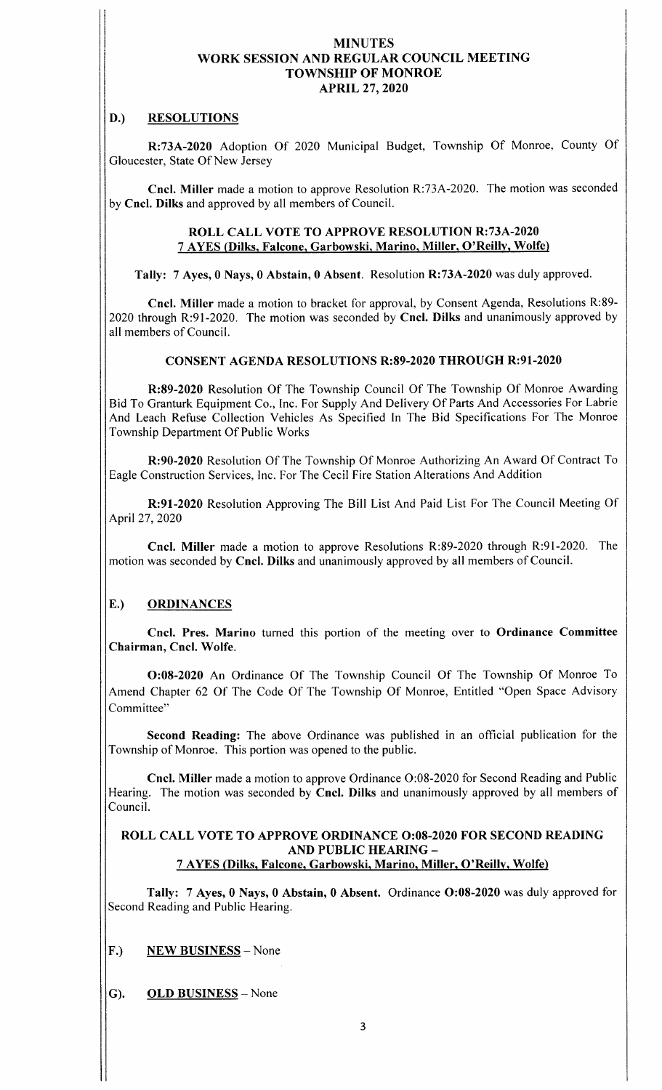## D.) RESOLUTIONS

R: 73A-2020 Adoption Of 2020 Municipal Budget, Township Of Monroe, County Of Gloucester, State Of New Jersey

Cncl. Miller made a motion to approve Resolution R:73A-2020. The motion was seconded by Cncl. Dilks and approved by all members of Council.

## ROLL CALL VOTE TO APPROVE RESOLUTION R:73A-2020 <sup>7</sup> AYES (Dilks, Falcone, Garbowski, Marino, Miller, O' Reilly, Wolfe)

Tally: 7 Ayes, 0 Nays, 0 Abstain, 0 Absent. Resolution R:73A-2020 was duly approved.

Cncl. Miller made a motion to bracket for approval, by Consent Agenda, Resolutions R:89-2020 through R: 91-2020. The motion was seconded by Cncl. Dilks and unanimously approved by all members of Council.

## CONSENT AGENDA RESOLUTIONS R:89-2020 THROUGH R:91-2020

R:89-2020 Resolution Of The Township Council Of The Township Of Monroe Awarding Bid To Granturk Equipment Co., Inc. For Supply And Delivery Of Parts And Accessories For Labrie And Leach Refuse Collection Vehicles As Specified In The Bid Specifications For The Monroe Township Department Of Public Works

R: 90-2020 Resolution Of The Township Of Monroe Authorizing An Award Of Contract To Eagle Construction Services, Inc. For The Cecil Fire Station Alterations And Addition

R: 91-2020 Resolution Approving The Bill List And Paid List For The Council Meeting Of April 27, 2020

Cncl. Miller made a motion to approve Resolutions R:89-2020 through R:91-2020. The motion was seconded by Cncl. Dilks and unanimously approved by all members of Council.

# E.) ORDINANCES

Cncl. Pres. Marino turned this portion of the meeting over to Ordinance Committee Chairman, Cncl. Wolfe.

0:08- 2020 An Ordinance Of The Township Council Of The Township Of Monroe To Amend Chapter 62 Of The Code Of The Township Of Monroe, Entitled "Open Space Advisory Committee"

Second Reading: The above Ordinance was published in an official publication for the Township of Monroe. This portion was opened to the public.

Cncl. Miller made a motion to approve Ordinance O:08-2020 for Second Reading and Public Hearing. The motion was seconded by Cncl. Dilks and unanimously approved by all members of Council.

#### ROLL CALL VOTE TO APPROVE ORDINANCE 0:08-2020 FOR SECOND READING AND PUBLIC HEARING— 7 AYES ( Dilks, Falcone, Garbowski, Marino, Miller, O' Reilly, Wolfe)

Tally: 7 Ayes, 0 Nays, 0 Abstain, 0 Absent. Ordinance O:08-2020 was duly approved for Second Reading and Public Hearing.

F.) NEW BUSINESS - None

G). OLD BUSINESS— None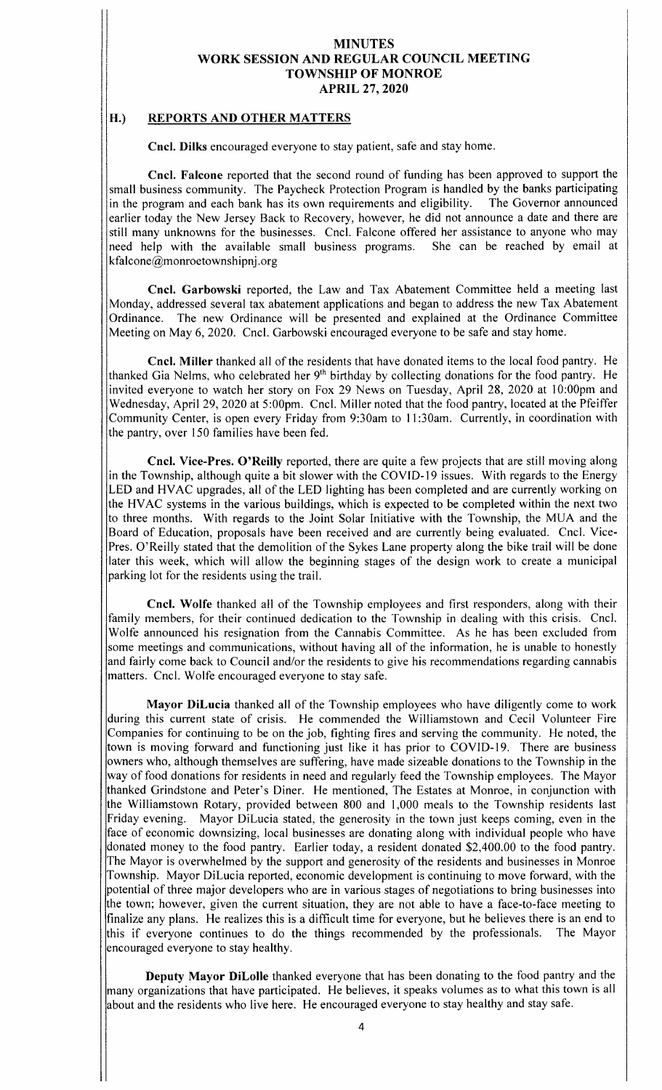## H.) REPORTS AND OTHER MATTERS

Cncl. Dilks encouraged everyone to stay patient, safe and stay home.

Cncl. Falcone reported that the second round of funding has been approved to support the small business community. The Paycheck Protection Program is handled by the banks participating in the program and each bank has its own requirements and eligibility. The Governor announced earlier today the New Jersey Back to Recovery, however, he did not announce a date and there are still many unknowns for the businesses. Cncl. Falcone offered her assistance to anyone who may need help with the available small business programs. She can be reached by email at kfalcone@monroetownshipnj. org

Cncl. Garbowski reported, the Law and Tax Abatement Committee held <sup>a</sup> meeting last Monday, addressed several tax abatement applications and began to address the new Tax Abatement Ordinance. The new Ordinance will be presented and explained at the Ordinance Committee Meeting on May 6, 2020. Cncl. Garbowski encouraged everyone to be safe and stay home.

Cncl. Miller thanked all of the residents that have donated items to the local food pantry. He thanked Gia Nelms, who celebrated her 9<sup>th</sup> birthday by collecting donations for the food pantry. He invited everyone to watch her story on Fox 29 News on Tuesday, April 28, 2020 at 10:00pm and Wednesday, April 29, 2020 at 5:00pm. Cncl. Miller noted that the food pantry, located at the Pfeiffer Community Center, is open every Friday from 9:30am to 11:30am. Currently, in coordination with the pantry, over 150 families have been fed.

Cncl. Vice-Pres. O'Reilly reported, there are quite a few projects that are still moving along in the Township, although quite <sup>a</sup> bit slower with the COVID- <sup>19</sup> issues. With regards to the Energy LED and HVAC upgrades, all of the LED lighting has been completed and are currently working on the HVAC systems in the various buildings, which is expected to be completed within the next two to three months. With regards to the Joint Solar Initiative with the Township, the MUA and the Board of Education, proposals have been received and are currently being evaluated. Cncl. Vice-Pres. O' Reilly stated that the demolition of the Sykes Lane property along the bike trail will be done later this week, which will allow the beginning stages of the design work to create <sup>a</sup> municipal parking lot for the residents using the trail.

Cncl. Wolfe thanked all of the Township employees and first responders, along with their family members, for their continued dedication to the Township in dealing with this crisis. Cncl. Wolfe announced his resignation from the Cannabis Committee. As he has been excluded from some meetings and communications, without having all of the information, he is unable to honestly and fairly come back to Council and/or the residents to give his recommendations regarding cannabis matters. Cncl. Wolfe encouraged everyone to stay safe.

Mayor DiLucia thanked all of the Township employees who have diligently come to work during this current state of crisis. He commended the Williamstown and Cecil Volunteer Fire Companies for continuing to be on the job, fighting fires and serving the community. He noted, the town is moving forward and functioning just like it has prior to COVID-19. There are business owners who, although themselves are suffering, have made sizeable donations to the Township in the way of food donations for residents in need and regularly feed the Township employees. The Mayor thanked Grindstone and Peter's Diner. He mentioned, The Estates at Monroe, in conjunction with the Williamstown Rotary, provided between 800 and 1, 000 meals to the Township residents last Friday evening. Mayor DiLucia stated, the generosity in the town just keeps coming, even in the face of economic downsizing, local businesses are donating along with individual people who have donated money to the food pantry. Earlier today, a resident donated \$2,400.00 to the food pantry. The Mayor is overwhelmed by the support and generosity of the residents and businesses in Monroe Township. Mayor DiLucia reported, economic development is continuing to move forward, with the potential of three major developers who are in various stages of negotiations to bring businesses into the town; however, given the current situation, they are not able to have a face-to-face meeting to finalize any plans. He realizes this is <sup>a</sup> difficult time for everyone, but he believes there is an end to this if everyone continues to do the things recommended by the professionals. The Mayor encouraged everyone to stay healthy.

Deputy Mayor DiLolle thanked everyone that has been donating to the food pantry and the many organizations that have participated. He believes, it speaks volumes as to what this town is all about and the residents who live here. He encouraged everyone to stay healthy and stay safe.